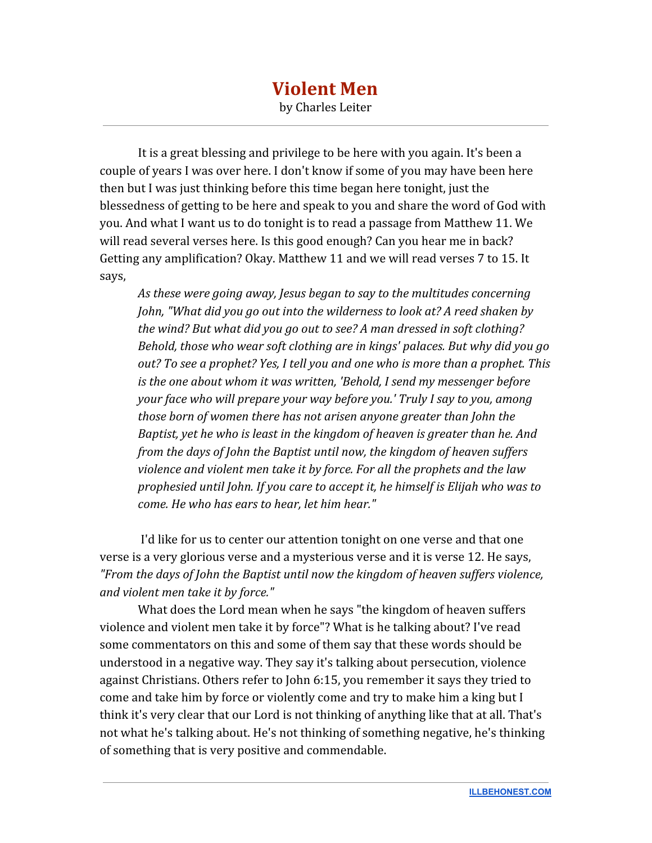## **Violent Men** by Charles Leiter

It is a great blessing and privilege to be here with you again. It's been a couple of years I was over here. I don't know if some of you may have been here then but I was just thinking before this time began here tonight, just the blessedness of getting to be here and speak to you and share the word of God with you. And what I want us to do tonight is to read a passage from Matthew 11. We will read several verses here. Is this good enough? Can you hear me in back? Getting any amplification? Okay. Matthew 11 and we will read verses 7 to 15. It says,

*As these were going away, Jesus began to say to the multitudes concerning John, "What did you go out into the wilderness to look at? A reed shaken by the wind? But what did you go out to see? A man dressed in soft clothing? Behold, those who wear soft clothing are in kings' palaces. But why did you go out? To see a prophet? Yes, I tell you and one who is more than a prophet. This is the one about whom it was written, 'Behold, I send my messenger before your face who will prepare your way before you.' Truly I say to you, among those born of women there has not arisen anyone greater than John the Baptist, yet he who is least in the kingdom of heaven is greater than he. And from the days of John the Baptist until now, the kingdom of heaven suffers violence and violent men take it by force. For all the prophets and the law prophesied until John. If you care to accept it, he himself is Elijah who was to come. He who has ears to hear, let him hear."*

 I'd like for us to center our attention tonight on one verse and that one verse is a very glorious verse and a mysterious verse and it is verse 12. He says, *"From the days of John the Baptist until now the kingdom of heaven suffers violence, and violent men take it by force."*

What does the Lord mean when he says "the kingdom of heaven suffers violence and violent men take it by force"? What is he talking about? I've read some commentators on this and some of them say that these words should be understood in a negative way. They say it's talking about persecution, violence against Christians. Others refer to John 6:15, you remember it says they tried to come and take him by force or violently come and try to make him a king but I think it's very clear that our Lord is not thinking of anything like that at all. That's not what he's talking about. He's not thinking of something negative, he's thinking of something that is very positive and commendable.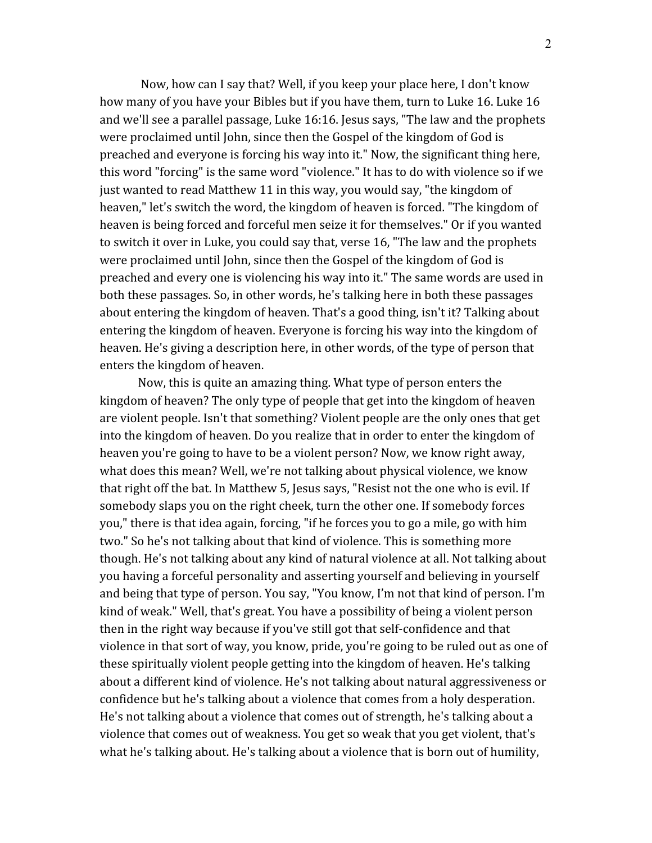Now, how can I say that? Well, if you keep your place here, I don't know how many of you have your Bibles but if you have them, turn to Luke 16. Luke 16 and we'll see a parallel passage, Luke 16:16. Jesus says, "The law and the prophets were proclaimed until John, since then the Gospel of the kingdom of God is preached and everyone is forcing his way into it." Now, the significant thing here, this word "forcing" is the same word "violence." It has to do with violence so if we just wanted to read Matthew 11 in this way, you would say, "the kingdom of heaven," let's switch the word, the kingdom of heaven is forced. "The kingdom of heaven is being forced and forceful men seize it for themselves." Or if you wanted to switch it over in Luke, you could say that, verse 16, "The law and the prophets were proclaimed until John, since then the Gospel of the kingdom of God is preached and every one is violencing his way into it." The same words are used in both these passages. So, in other words, he's talking here in both these passages about entering the kingdom of heaven. That's a good thing, isn't it? Talking about entering the kingdom of heaven. Everyone is forcing his way into the kingdom of heaven. He's giving a description here, in other words, of the type of person that enters the kingdom of heaven.

Now, this is quite an amazing thing. What type of person enters the kingdom of heaven? The only type of people that get into the kingdom of heaven are violent people. Isn't that something? Violent people are the only ones that get into the kingdom of heaven. Do you realize that in order to enter the kingdom of heaven you're going to have to be a violent person? Now, we know right away, what does this mean? Well, we're not talking about physical violence, we know that right off the bat. In Matthew 5, Jesus says, "Resist not the one who is evil. If somebody slaps you on the right cheek, turn the other one. If somebody forces you," there is that idea again, forcing, "if he forces you to go a mile, go with him two." So he's not talking about that kind of violence. This is something more though. He's not talking about any kind of natural violence at all. Not talking about you having a forceful personality and asserting yourself and believing in yourself and being that type of person. You say, "You know, I'm not that kind of person. I'm kind of weak." Well, that's great. You have a possibility of being a violent person then in the right way because if you've still got that self-confidence and that violence in that sort of way, you know, pride, you're going to be ruled out as one of these spiritually violent people getting into the kingdom of heaven. He's talking about a different kind of violence. He's not talking about natural aggressiveness or confidence but he's talking about a violence that comes from a holy desperation. He's not talking about a violence that comes out of strength, he's talking about a violence that comes out of weakness. You get so weak that you get violent, that's what he's talking about. He's talking about a violence that is born out of humility,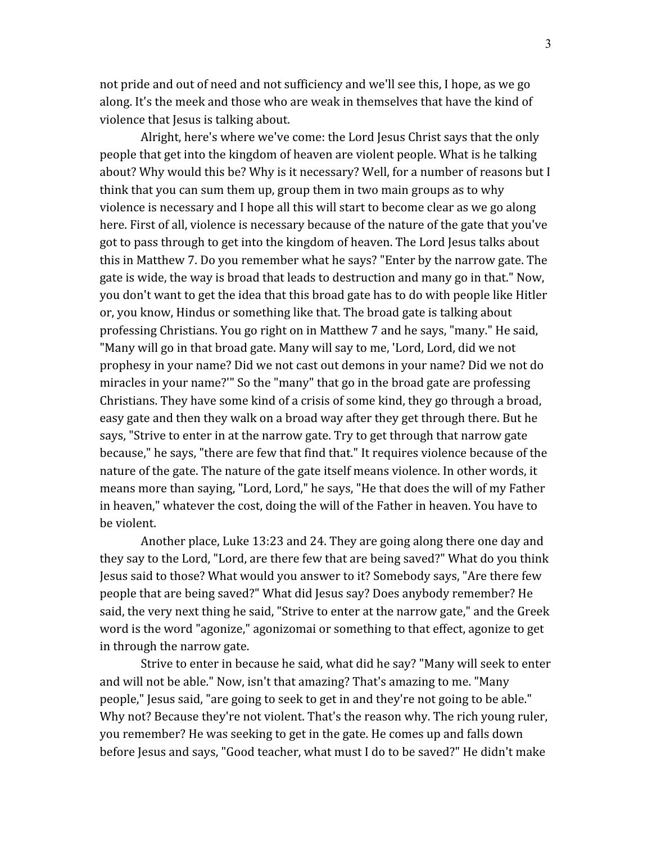not pride and out of need and not sufficiency and we'll see this, I hope, as we go along. It's the meek and those who are weak in themselves that have the kind of violence that Jesus is talking about.

 Alright, here's where we've come: the Lord Jesus Christ says that the only people that get into the kingdom of heaven are violent people. What is he talking about? Why would this be? Why is it necessary? Well, for a number of reasons but I think that you can sum them up, group them in two main groups as to why violence is necessary and I hope all this will start to become clear as we go along here. First of all, violence is necessary because of the nature of the gate that you've got to pass through to get into the kingdom of heaven. The Lord Jesus talks about this in Matthew 7. Do you remember what he says? "Enter by the narrow gate. The gate is wide, the way is broad that leads to destruction and many go in that." Now, you don't want to get the idea that this broad gate has to do with people like Hitler or, you know, Hindus or something like that. The broad gate is talking about professing Christians. You go right on in Matthew 7 and he says, "many." He said, "Many will go in that broad gate. Many will say to me, 'Lord, Lord, did we not prophesy in your name? Did we not cast out demons in your name? Did we not do miracles in your name?'" So the "many" that go in the broad gate are professing Christians. They have some kind of a crisis of some kind, they go through a broad, easy gate and then they walk on a broad way after they get through there. But he says, "Strive to enter in at the narrow gate. Try to get through that narrow gate because," he says, "there are few that find that." It requires violence because of the nature of the gate. The nature of the gate itself means violence. In other words, it means more than saying, "Lord, Lord," he says, "He that does the will of my Father in heaven," whatever the cost, doing the will of the Father in heaven. You have to be violent.

 Another place, Luke 13:23 and 24. They are going along there one day and they say to the Lord, "Lord, are there few that are being saved?" What do you think Jesus said to those? What would you answer to it? Somebody says, "Are there few people that are being saved?" What did Jesus say? Does anybody remember? He said, the very next thing he said, "Strive to enter at the narrow gate," and the Greek word is the word "agonize," agonizomai or something to that effect, agonize to get in through the narrow gate.

 Strive to enter in because he said, what did he say? "Many will seek to enter and will not be able." Now, isn't that amazing? That's amazing to me. "Many people," Jesus said, "are going to seek to get in and they're not going to be able." Why not? Because they're not violent. That's the reason why. The rich young ruler, you remember? He was seeking to get in the gate. He comes up and falls down before Jesus and says, "Good teacher, what must I do to be saved?" He didn't make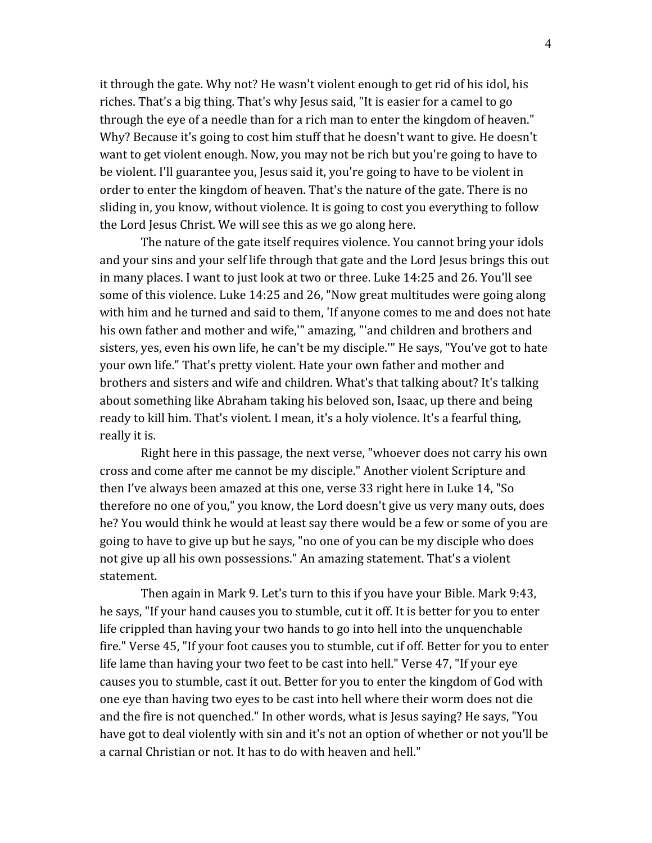it through the gate. Why not? He wasn't violent enough to get rid of his idol, his riches. That's a big thing. That's why Jesus said, "It is easier for a camel to go through the eye of a needle than for a rich man to enter the kingdom of heaven." Why? Because it's going to cost him stuff that he doesn't want to give. He doesn't want to get violent enough. Now, you may not be rich but you're going to have to be violent. I'll guarantee you, Jesus said it, you're going to have to be violent in order to enter the kingdom of heaven. That's the nature of the gate. There is no sliding in, you know, without violence. It is going to cost you everything to follow the Lord Jesus Christ. We will see this as we go along here.

 The nature of the gate itself requires violence. You cannot bring your idols and your sins and your self life through that gate and the Lord Jesus brings this out in many places. I want to just look at two or three. Luke 14:25 and 26. You'll see some of this violence. Luke 14:25 and 26, "Now great multitudes were going along with him and he turned and said to them, 'If anyone comes to me and does not hate his own father and mother and wife,'" amazing, "'and children and brothers and sisters, yes, even his own life, he can't be my disciple.'" He says, "You've got to hate your own life." That's pretty violent. Hate your own father and mother and brothers and sisters and wife and children. What's that talking about? It's talking about something like Abraham taking his beloved son, Isaac, up there and being ready to kill him. That's violent. I mean, it's a holy violence. It's a fearful thing, really it is.

 Right here in this passage, the next verse, "whoever does not carry his own cross and come after me cannot be my disciple." Another violent Scripture and then I've always been amazed at this one, verse 33 right here in Luke 14, "So therefore no one of you," you know, the Lord doesn't give us very many outs, does he? You would think he would at least say there would be a few or some of you are going to have to give up but he says, "no one of you can be my disciple who does not give up all his own possessions." An amazing statement. That's a violent statement.

 Then again in Mark 9. Let's turn to this if you have your Bible. Mark 9:43, he says, "If your hand causes you to stumble, cut it off. It is better for you to enter life crippled than having your two hands to go into hell into the unquenchable fire." Verse 45, "If your foot causes you to stumble, cut if off. Better for you to enter life lame than having your two feet to be cast into hell." Verse 47, "If your eye causes you to stumble, cast it out. Better for you to enter the kingdom of God with one eye than having two eyes to be cast into hell where their worm does not die and the fire is not quenched." In other words, what is Jesus saying? He says, "You have got to deal violently with sin and it's not an option of whether or not you'll be a carnal Christian or not. It has to do with heaven and hell."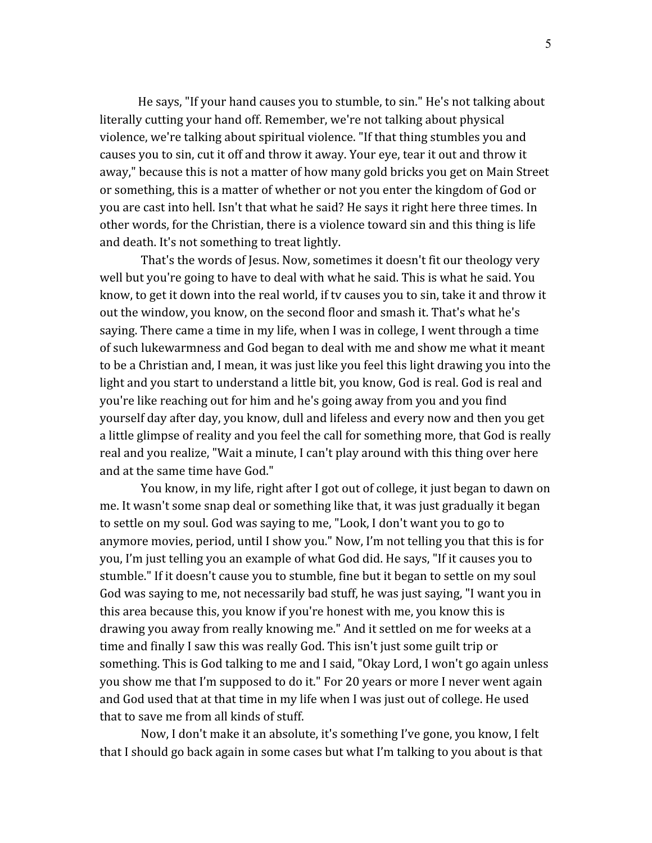He says, "If your hand causes you to stumble, to sin." He's not talking about literally cutting your hand off. Remember, we're not talking about physical violence, we're talking about spiritual violence. "If that thing stumbles you and causes you to sin, cut it off and throw it away. Your eye, tear it out and throw it away," because this is not a matter of how many gold bricks you get on Main Street or something, this is a matter of whether or not you enter the kingdom of God or you are cast into hell. Isn't that what he said? He says it right here three times. In other words, for the Christian, there is a violence toward sin and this thing is life and death. It's not something to treat lightly.

 That's the words of Jesus. Now, sometimes it doesn't fit our theology very well but you're going to have to deal with what he said. This is what he said. You know, to get it down into the real world, if tv causes you to sin, take it and throw it out the window, you know, on the second floor and smash it. That's what he's saying. There came a time in my life, when I was in college, I went through a time of such lukewarmness and God began to deal with me and show me what it meant to be a Christian and, I mean, it was just like you feel this light drawing you into the light and you start to understand a little bit, you know, God is real. God is real and you're like reaching out for him and he's going away from you and you find yourself day after day, you know, dull and lifeless and every now and then you get a little glimpse of reality and you feel the call for something more, that God is really real and you realize, "Wait a minute, I can't play around with this thing over here and at the same time have God."

 You know, in my life, right after I got out of college, it just began to dawn on me. It wasn't some snap deal or something like that, it was just gradually it began to settle on my soul. God was saying to me, "Look, I don't want you to go to anymore movies, period, until I show you." Now, I'm not telling you that this is for you, I'm just telling you an example of what God did. He says, "If it causes you to stumble." If it doesn't cause you to stumble, fine but it began to settle on my soul God was saying to me, not necessarily bad stuff, he was just saying, "I want you in this area because this, you know if you're honest with me, you know this is drawing you away from really knowing me." And it settled on me for weeks at a time and finally I saw this was really God. This isn't just some guilt trip or something. This is God talking to me and I said, "Okay Lord, I won't go again unless you show me that I'm supposed to do it." For 20 years or more I never went again and God used that at that time in my life when I was just out of college. He used that to save me from all kinds of stuff.

 Now, I don't make it an absolute, it's something I've gone, you know, I felt that I should go back again in some cases but what I'm talking to you about is that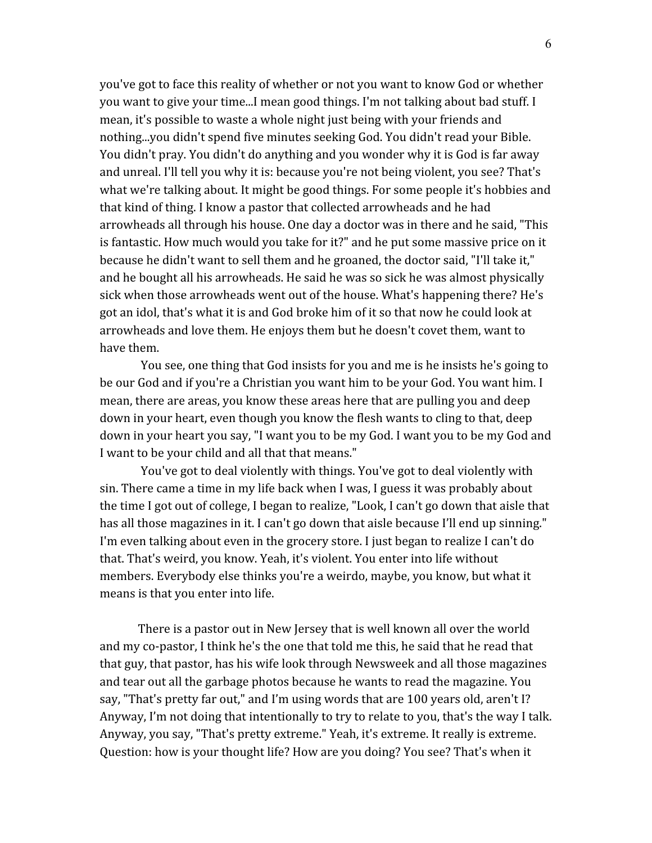you've got to face this reality of whether or not you want to know God or whether you want to give your time...I mean good things. I'm not talking about bad stuff. I mean, it's possible to waste a whole night just being with your friends and nothing...you didn't spend five minutes seeking God. You didn't read your Bible. You didn't pray. You didn't do anything and you wonder why it is God is far away and unreal. I'll tell you why it is: because you're not being violent, you see? That's what we're talking about. It might be good things. For some people it's hobbies and that kind of thing. I know a pastor that collected arrowheads and he had arrowheads all through his house. One day a doctor was in there and he said, "This is fantastic. How much would you take for it?" and he put some massive price on it because he didn't want to sell them and he groaned, the doctor said, "I'll take it," and he bought all his arrowheads. He said he was so sick he was almost physically sick when those arrowheads went out of the house. What's happening there? He's got an idol, that's what it is and God broke him of it so that now he could look at arrowheads and love them. He enjoys them but he doesn't covet them, want to have them.

 You see, one thing that God insists for you and me is he insists he's going to be our God and if you're a Christian you want him to be your God. You want him. I mean, there are areas, you know these areas here that are pulling you and deep down in your heart, even though you know the flesh wants to cling to that, deep down in your heart you say, "I want you to be my God. I want you to be my God and I want to be your child and all that that means."

 You've got to deal violently with things. You've got to deal violently with sin. There came a time in my life back when I was, I guess it was probably about the time I got out of college, I began to realize, "Look, I can't go down that aisle that has all those magazines in it. I can't go down that aisle because I'll end up sinning." I'm even talking about even in the grocery store. I just began to realize I can't do that. That's weird, you know. Yeah, it's violent. You enter into life without members. Everybody else thinks you're a weirdo, maybe, you know, but what it means is that you enter into life.

There is a pastor out in New Jersey that is well known all over the world and my co-pastor, I think he's the one that told me this, he said that he read that that guy, that pastor, has his wife look through Newsweek and all those magazines and tear out all the garbage photos because he wants to read the magazine. You say, "That's pretty far out," and I'm using words that are 100 years old, aren't I? Anyway, I'm not doing that intentionally to try to relate to you, that's the way I talk. Anyway, you say, "That's pretty extreme." Yeah, it's extreme. It really is extreme. Question: how is your thought life? How are you doing? You see? That's when it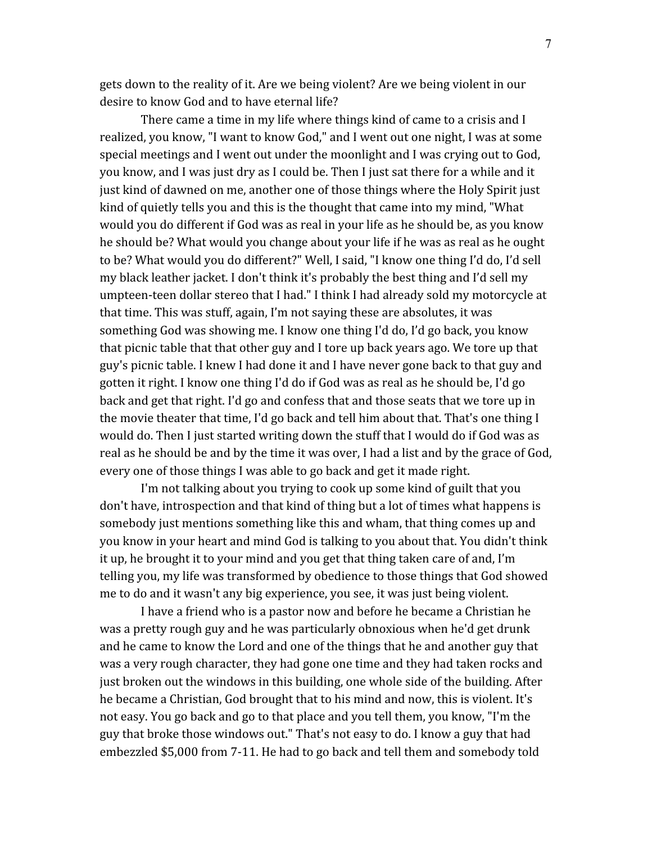gets down to the reality of it. Are we being violent? Are we being violent in our desire to know God and to have eternal life?

 There came a time in my life where things kind of came to a crisis and I realized, you know, "I want to know God," and I went out one night, I was at some special meetings and I went out under the moonlight and I was crying out to God, you know, and I was just dry as I could be. Then I just sat there for a while and it just kind of dawned on me, another one of those things where the Holy Spirit just kind of quietly tells you and this is the thought that came into my mind, "What would you do different if God was as real in your life as he should be, as you know he should be? What would you change about your life if he was as real as he ought to be? What would you do different?" Well, I said, "I know one thing I'd do, I'd sell my black leather jacket. I don't think it's probably the best thing and I'd sell my umpteen-teen dollar stereo that I had." I think I had already sold my motorcycle at that time. This was stuff, again, I'm not saying these are absolutes, it was something God was showing me. I know one thing I'd do, I'd go back, you know that picnic table that that other guy and I tore up back years ago. We tore up that guy's picnic table. I knew I had done it and I have never gone back to that guy and gotten it right. I know one thing I'd do if God was as real as he should be, I'd go back and get that right. I'd go and confess that and those seats that we tore up in the movie theater that time, I'd go back and tell him about that. That's one thing I would do. Then I just started writing down the stuff that I would do if God was as real as he should be and by the time it was over, I had a list and by the grace of God, every one of those things I was able to go back and get it made right.

 I'm not talking about you trying to cook up some kind of guilt that you don't have, introspection and that kind of thing but a lot of times what happens is somebody just mentions something like this and wham, that thing comes up and you know in your heart and mind God is talking to you about that. You didn't think it up, he brought it to your mind and you get that thing taken care of and, I'm telling you, my life was transformed by obedience to those things that God showed me to do and it wasn't any big experience, you see, it was just being violent.

 I have a friend who is a pastor now and before he became a Christian he was a pretty rough guy and he was particularly obnoxious when he'd get drunk and he came to know the Lord and one of the things that he and another guy that was a very rough character, they had gone one time and they had taken rocks and just broken out the windows in this building, one whole side of the building. After he became a Christian, God brought that to his mind and now, this is violent. It's not easy. You go back and go to that place and you tell them, you know, "I'm the guy that broke those windows out." That's not easy to do. I know a guy that had embezzled \$5,000 from 7-11. He had to go back and tell them and somebody told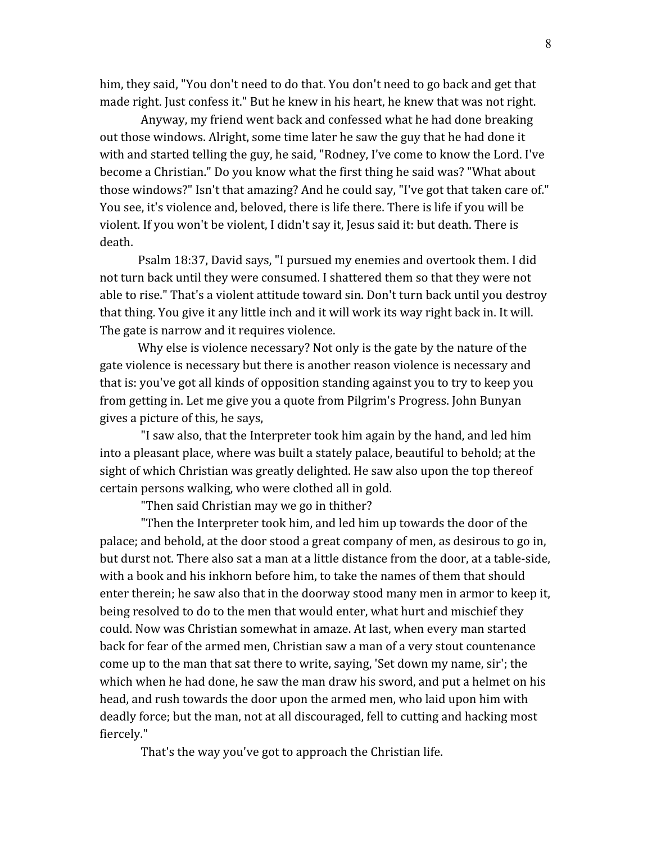him, they said, "You don't need to do that. You don't need to go back and get that made right. Just confess it." But he knew in his heart, he knew that was not right.

 Anyway, my friend went back and confessed what he had done breaking out those windows. Alright, some time later he saw the guy that he had done it with and started telling the guy, he said, "Rodney, I've come to know the Lord. I've become a Christian." Do you know what the first thing he said was? "What about those windows?" Isn't that amazing? And he could say, "I've got that taken care of." You see, it's violence and, beloved, there is life there. There is life if you will be violent. If you won't be violent, I didn't say it, Jesus said it: but death. There is death.

Psalm 18:37, David says, "I pursued my enemies and overtook them. I did not turn back until they were consumed. I shattered them so that they were not able to rise." That's a violent attitude toward sin. Don't turn back until you destroy that thing. You give it any little inch and it will work its way right back in. It will. The gate is narrow and it requires violence.

Why else is violence necessary? Not only is the gate by the nature of the gate violence is necessary but there is another reason violence is necessary and that is: you've got all kinds of opposition standing against you to try to keep you from getting in. Let me give you a quote from Pilgrim's Progress. John Bunyan gives a picture of this, he says,

 "I saw also, that the Interpreter took him again by the hand, and led him into a pleasant place, where was built a stately palace, beautiful to behold; at the sight of which Christian was greatly delighted. He saw also upon the top thereof certain persons walking, who were clothed all in gold.

"Then said Christian may we go in thither?

 "Then the Interpreter took him, and led him up towards the door of the palace; and behold, at the door stood a great company of men, as desirous to go in, but durst not. There also sat a man at a little distance from the door, at a table-side, with a book and his inkhorn before him, to take the names of them that should enter therein; he saw also that in the doorway stood many men in armor to keep it, being resolved to do to the men that would enter, what hurt and mischief they could. Now was Christian somewhat in amaze. At last, when every man started back for fear of the armed men, Christian saw a man of a very stout countenance come up to the man that sat there to write, saying, 'Set down my name, sir'; the which when he had done, he saw the man draw his sword, and put a helmet on his head, and rush towards the door upon the armed men, who laid upon him with deadly force; but the man, not at all discouraged, fell to cutting and hacking most fiercely."

That's the way you've got to approach the Christian life.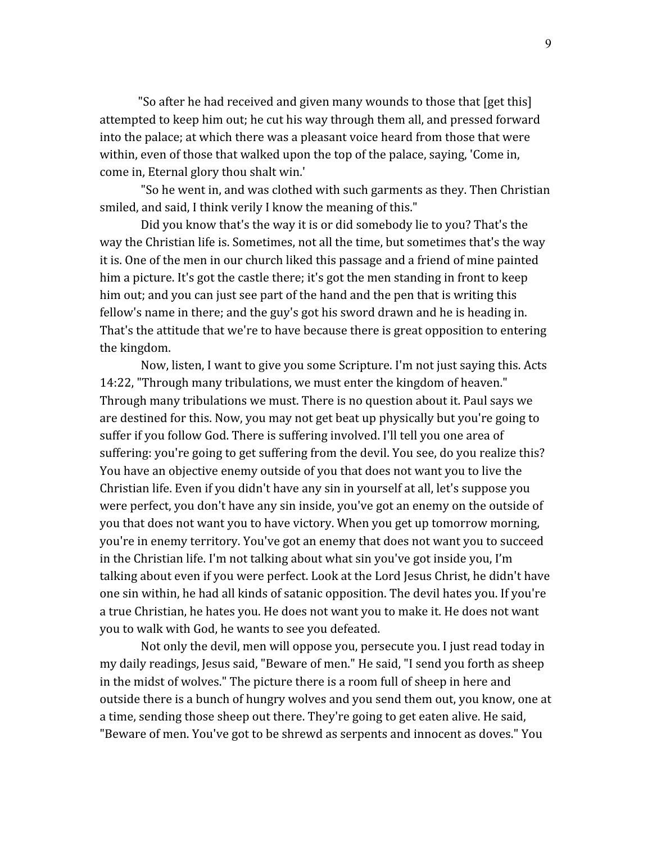"So after he had received and given many wounds to those that [get this] attempted to keep him out; he cut his way through them all, and pressed forward into the palace; at which there was a pleasant voice heard from those that were within, even of those that walked upon the top of the palace, saying, 'Come in, come in, Eternal glory thou shalt win.'

 "So he went in, and was clothed with such garments as they. Then Christian smiled, and said, I think verily I know the meaning of this."

 Did you know that's the way it is or did somebody lie to you? That's the way the Christian life is. Sometimes, not all the time, but sometimes that's the way it is. One of the men in our church liked this passage and a friend of mine painted him a picture. It's got the castle there; it's got the men standing in front to keep him out; and you can just see part of the hand and the pen that is writing this fellow's name in there; and the guy's got his sword drawn and he is heading in. That's the attitude that we're to have because there is great opposition to entering the kingdom.

 Now, listen, I want to give you some Scripture. I'm not just saying this. Acts 14:22, "Through many tribulations, we must enter the kingdom of heaven." Through many tribulations we must. There is no question about it. Paul says we are destined for this. Now, you may not get beat up physically but you're going to suffer if you follow God. There is suffering involved. I'll tell you one area of suffering: you're going to get suffering from the devil. You see, do you realize this? You have an objective enemy outside of you that does not want you to live the Christian life. Even if you didn't have any sin in yourself at all, let's suppose you were perfect, you don't have any sin inside, you've got an enemy on the outside of you that does not want you to have victory. When you get up tomorrow morning, you're in enemy territory. You've got an enemy that does not want you to succeed in the Christian life. I'm not talking about what sin you've got inside you, I'm talking about even if you were perfect. Look at the Lord Jesus Christ, he didn't have one sin within, he had all kinds of satanic opposition. The devil hates you. If you're a true Christian, he hates you. He does not want you to make it. He does not want you to walk with God, he wants to see you defeated.

 Not only the devil, men will oppose you, persecute you. I just read today in my daily readings, Jesus said, "Beware of men." He said, "I send you forth as sheep in the midst of wolves." The picture there is a room full of sheep in here and outside there is a bunch of hungry wolves and you send them out, you know, one at a time, sending those sheep out there. They're going to get eaten alive. He said, "Beware of men. You've got to be shrewd as serpents and innocent as doves." You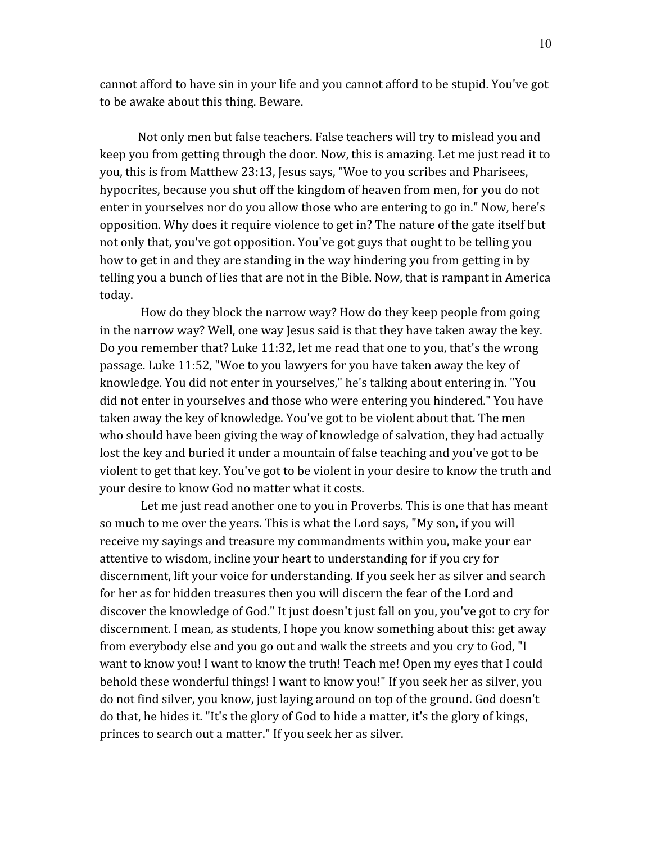cannot afford to have sin in your life and you cannot afford to be stupid. You've got to be awake about this thing. Beware.

Not only men but false teachers. False teachers will try to mislead you and keep you from getting through the door. Now, this is amazing. Let me just read it to you, this is from Matthew 23:13, Jesus says, "Woe to you scribes and Pharisees, hypocrites, because you shut off the kingdom of heaven from men, for you do not enter in yourselves nor do you allow those who are entering to go in." Now, here's opposition. Why does it require violence to get in? The nature of the gate itself but not only that, you've got opposition. You've got guys that ought to be telling you how to get in and they are standing in the way hindering you from getting in by telling you a bunch of lies that are not in the Bible. Now, that is rampant in America today.

 How do they block the narrow way? How do they keep people from going in the narrow way? Well, one way Jesus said is that they have taken away the key. Do you remember that? Luke 11:32, let me read that one to you, that's the wrong passage. Luke 11:52, "Woe to you lawyers for you have taken away the key of knowledge. You did not enter in yourselves," he's talking about entering in. "You did not enter in yourselves and those who were entering you hindered." You have taken away the key of knowledge. You've got to be violent about that. The men who should have been giving the way of knowledge of salvation, they had actually lost the key and buried it under a mountain of false teaching and you've got to be violent to get that key. You've got to be violent in your desire to know the truth and your desire to know God no matter what it costs.

 Let me just read another one to you in Proverbs. This is one that has meant so much to me over the years. This is what the Lord says, "My son, if you will receive my sayings and treasure my commandments within you, make your ear attentive to wisdom, incline your heart to understanding for if you cry for discernment, lift your voice for understanding. If you seek her as silver and search for her as for hidden treasures then you will discern the fear of the Lord and discover the knowledge of God." It just doesn't just fall on you, you've got to cry for discernment. I mean, as students, I hope you know something about this: get away from everybody else and you go out and walk the streets and you cry to God, "I want to know you! I want to know the truth! Teach me! Open my eyes that I could behold these wonderful things! I want to know you!" If you seek her as silver, you do not find silver, you know, just laying around on top of the ground. God doesn't do that, he hides it. "It's the glory of God to hide a matter, it's the glory of kings, princes to search out a matter." If you seek her as silver.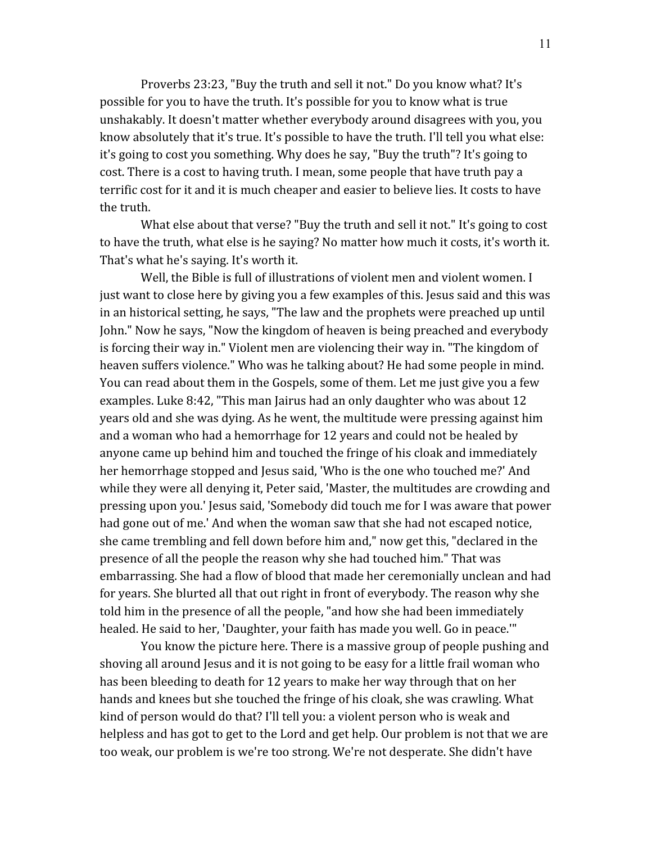Proverbs 23:23, "Buy the truth and sell it not." Do you know what? It's possible for you to have the truth. It's possible for you to know what is true unshakably. It doesn't matter whether everybody around disagrees with you, you know absolutely that it's true. It's possible to have the truth. I'll tell you what else: it's going to cost you something. Why does he say, "Buy the truth"? It's going to cost. There is a cost to having truth. I mean, some people that have truth pay a terrific cost for it and it is much cheaper and easier to believe lies. It costs to have the truth.

 What else about that verse? "Buy the truth and sell it not." It's going to cost to have the truth, what else is he saying? No matter how much it costs, it's worth it. That's what he's saying. It's worth it.

 Well, the Bible is full of illustrations of violent men and violent women. I just want to close here by giving you a few examples of this. Jesus said and this was in an historical setting, he says, "The law and the prophets were preached up until John." Now he says, "Now the kingdom of heaven is being preached and everybody is forcing their way in." Violent men are violencing their way in. "The kingdom of heaven suffers violence." Who was he talking about? He had some people in mind. You can read about them in the Gospels, some of them. Let me just give you a few examples. Luke 8:42, "This man Jairus had an only daughter who was about 12 years old and she was dying. As he went, the multitude were pressing against him and a woman who had a hemorrhage for 12 years and could not be healed by anyone came up behind him and touched the fringe of his cloak and immediately her hemorrhage stopped and Jesus said, 'Who is the one who touched me?' And while they were all denying it, Peter said, 'Master, the multitudes are crowding and pressing upon you.' Jesus said, 'Somebody did touch me for I was aware that power had gone out of me.' And when the woman saw that she had not escaped notice, she came trembling and fell down before him and," now get this, "declared in the presence of all the people the reason why she had touched him." That was embarrassing. She had a flow of blood that made her ceremonially unclean and had for years. She blurted all that out right in front of everybody. The reason why she told him in the presence of all the people, "and how she had been immediately healed. He said to her, 'Daughter, your faith has made you well. Go in peace.'"

 You know the picture here. There is a massive group of people pushing and shoving all around Jesus and it is not going to be easy for a little frail woman who has been bleeding to death for 12 years to make her way through that on her hands and knees but she touched the fringe of his cloak, she was crawling. What kind of person would do that? I'll tell you: a violent person who is weak and helpless and has got to get to the Lord and get help. Our problem is not that we are too weak, our problem is we're too strong. We're not desperate. She didn't have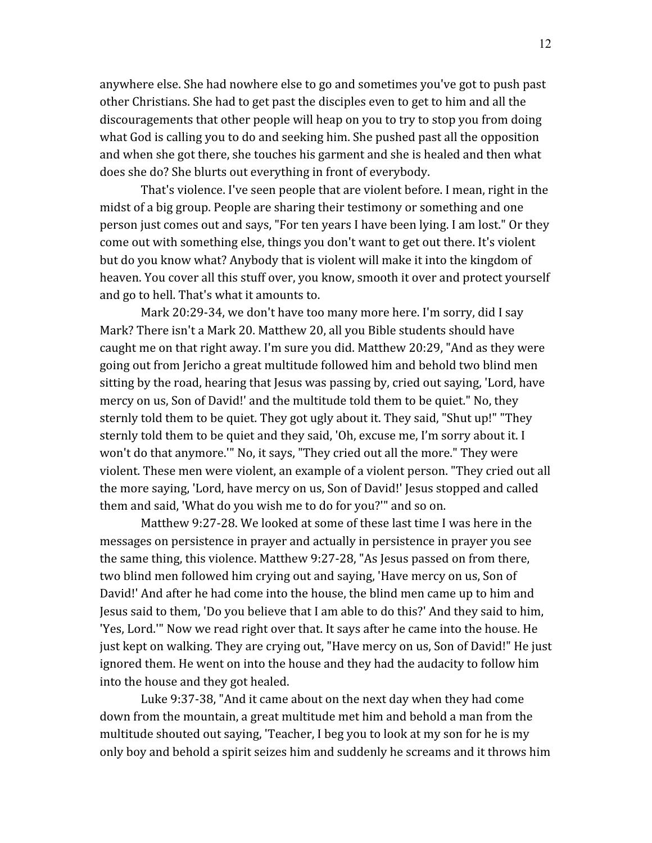anywhere else. She had nowhere else to go and sometimes you've got to push past other Christians. She had to get past the disciples even to get to him and all the discouragements that other people will heap on you to try to stop you from doing what God is calling you to do and seeking him. She pushed past all the opposition and when she got there, she touches his garment and she is healed and then what does she do? She blurts out everything in front of everybody.

 That's violence. I've seen people that are violent before. I mean, right in the midst of a big group. People are sharing their testimony or something and one person just comes out and says, "For ten years I have been lying. I am lost." Or they come out with something else, things you don't want to get out there. It's violent but do you know what? Anybody that is violent will make it into the kingdom of heaven. You cover all this stuff over, you know, smooth it over and protect yourself and go to hell. That's what it amounts to.

 Mark 20:29-34, we don't have too many more here. I'm sorry, did I say Mark? There isn't a Mark 20. Matthew 20, all you Bible students should have caught me on that right away. I'm sure you did. Matthew 20:29, "And as they were going out from Jericho a great multitude followed him and behold two blind men sitting by the road, hearing that Jesus was passing by, cried out saying, 'Lord, have mercy on us, Son of David!' and the multitude told them to be quiet." No, they sternly told them to be quiet. They got ugly about it. They said, "Shut up!" "They sternly told them to be quiet and they said, 'Oh, excuse me, I'm sorry about it. I won't do that anymore.'" No, it says, "They cried out all the more." They were violent. These men were violent, an example of a violent person. "They cried out all the more saying, 'Lord, have mercy on us, Son of David!' Jesus stopped and called them and said, 'What do you wish me to do for you?'" and so on.

 Matthew 9:27-28. We looked at some of these last time I was here in the messages on persistence in prayer and actually in persistence in prayer you see the same thing, this violence. Matthew 9:27-28, "As Jesus passed on from there, two blind men followed him crying out and saying, 'Have mercy on us, Son of David!' And after he had come into the house, the blind men came up to him and Jesus said to them, 'Do you believe that I am able to do this?' And they said to him, 'Yes, Lord.'" Now we read right over that. It says after he came into the house. He just kept on walking. They are crying out, "Have mercy on us, Son of David!" He just ignored them. He went on into the house and they had the audacity to follow him into the house and they got healed.

 Luke 9:37-38, "And it came about on the next day when they had come down from the mountain, a great multitude met him and behold a man from the multitude shouted out saying, 'Teacher, I beg you to look at my son for he is my only boy and behold a spirit seizes him and suddenly he screams and it throws him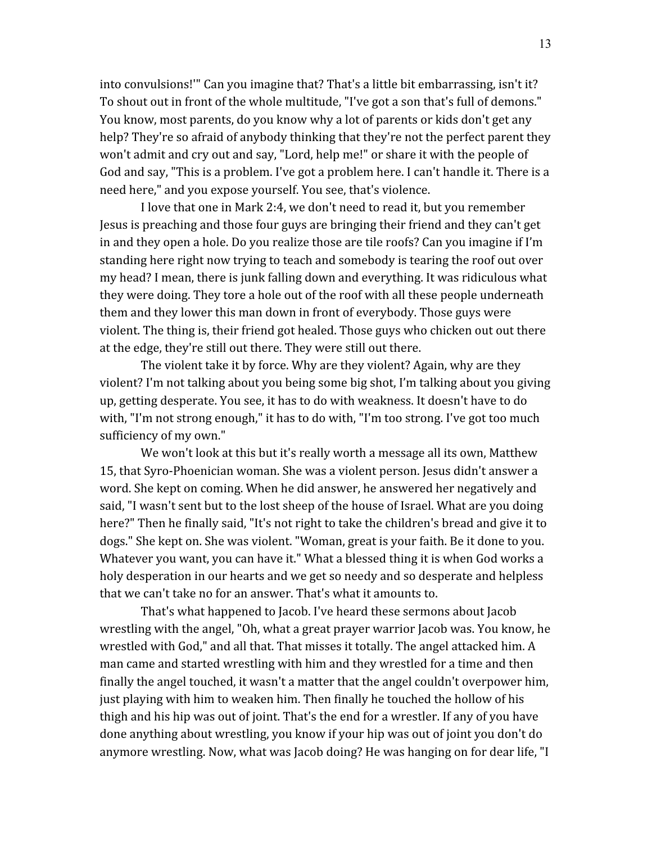into convulsions!'" Can you imagine that? That's a little bit embarrassing, isn't it? To shout out in front of the whole multitude, "I've got a son that's full of demons." You know, most parents, do you know why a lot of parents or kids don't get any help? They're so afraid of anybody thinking that they're not the perfect parent they won't admit and cry out and say, "Lord, help me!" or share it with the people of God and say, "This is a problem. I've got a problem here. I can't handle it. There is a need here," and you expose yourself. You see, that's violence.

 I love that one in Mark 2:4, we don't need to read it, but you remember Jesus is preaching and those four guys are bringing their friend and they can't get in and they open a hole. Do you realize those are tile roofs? Can you imagine if I'm standing here right now trying to teach and somebody is tearing the roof out over my head? I mean, there is junk falling down and everything. It was ridiculous what they were doing. They tore a hole out of the roof with all these people underneath them and they lower this man down in front of everybody. Those guys were violent. The thing is, their friend got healed. Those guys who chicken out out there at the edge, they're still out there. They were still out there.

 The violent take it by force. Why are they violent? Again, why are they violent? I'm not talking about you being some big shot, I'm talking about you giving up, getting desperate. You see, it has to do with weakness. It doesn't have to do with, "I'm not strong enough," it has to do with, "I'm too strong. I've got too much sufficiency of my own."

 We won't look at this but it's really worth a message all its own, Matthew 15, that Syro-Phoenician woman. She was a violent person. Jesus didn't answer a word. She kept on coming. When he did answer, he answered her negatively and said, "I wasn't sent but to the lost sheep of the house of Israel. What are you doing here?" Then he finally said, "It's not right to take the children's bread and give it to dogs." She kept on. She was violent. "Woman, great is your faith. Be it done to you. Whatever you want, you can have it." What a blessed thing it is when God works a holy desperation in our hearts and we get so needy and so desperate and helpless that we can't take no for an answer. That's what it amounts to.

 That's what happened to Jacob. I've heard these sermons about Jacob wrestling with the angel, "Oh, what a great prayer warrior Jacob was. You know, he wrestled with God," and all that. That misses it totally. The angel attacked him. A man came and started wrestling with him and they wrestled for a time and then finally the angel touched, it wasn't a matter that the angel couldn't overpower him, just playing with him to weaken him. Then finally he touched the hollow of his thigh and his hip was out of joint. That's the end for a wrestler. If any of you have done anything about wrestling, you know if your hip was out of joint you don't do anymore wrestling. Now, what was Jacob doing? He was hanging on for dear life, "I